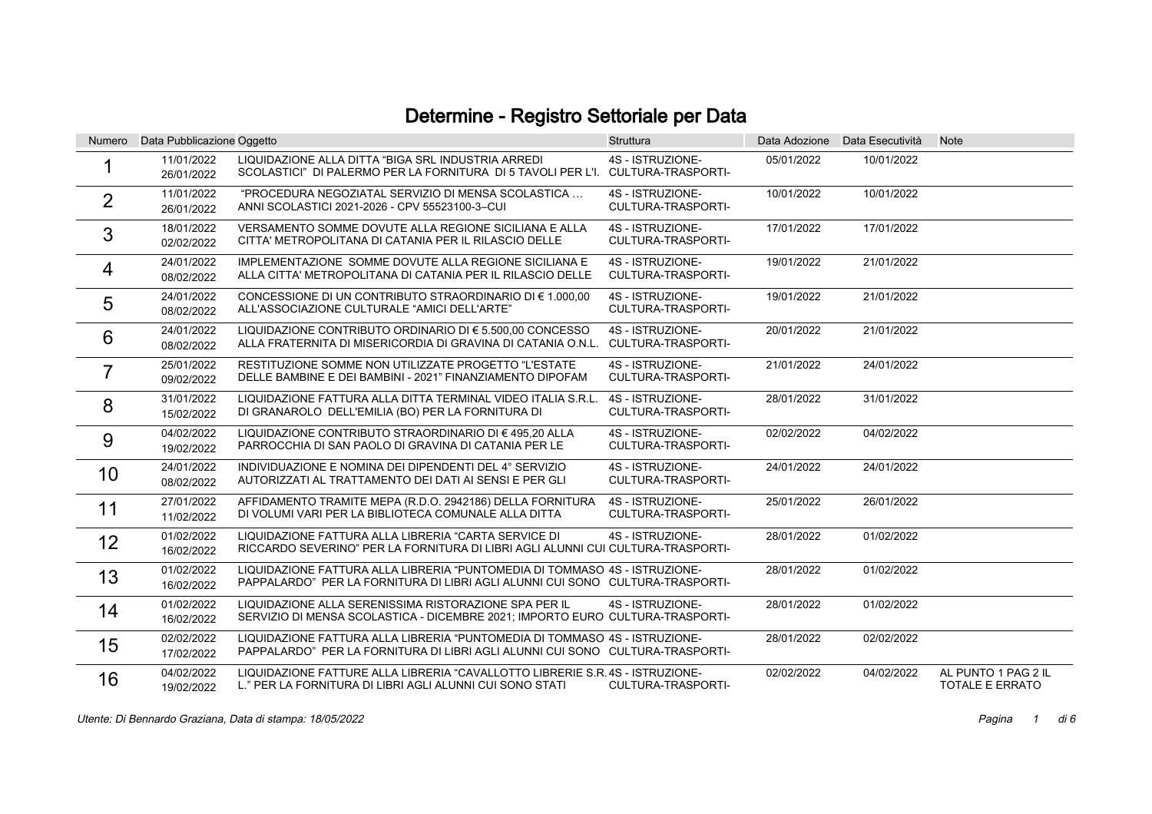## Determine - Registro Settoriale per Data

| <b>Numero</b>  | Data Pubblicazione Oggetto |                                                                                                                                                             | <b>Struttura</b>                              |            | Data Adozione Data Esecutività | <b>Note</b>                                   |
|----------------|----------------------------|-------------------------------------------------------------------------------------------------------------------------------------------------------------|-----------------------------------------------|------------|--------------------------------|-----------------------------------------------|
|                | 11/01/2022<br>26/01/2022   | LIQUIDAZIONE ALLA DITTA "BIGA SRL INDUSTRIA ARREDI<br>SCOLASTICI" DI PALERMO PER LA FORNITURA DI 5 TAVOLI PER L'I. CULTURA-TRASPORTI-                       | 4S - ISTRUZIONE-                              | 05/01/2022 | 10/01/2022                     |                                               |
| $\overline{2}$ | 11/01/2022<br>26/01/2022   | "PROCEDURA NEGOZIATAL SERVIZIO DI MENSA SCOLASTICA<br>ANNI SCOLASTICI 2021-2026 - CPV 55523100-3-CUI                                                        | 4S - ISTRUZIONE-<br>CULTURA-TRASPORTI-        | 10/01/2022 | 10/01/2022                     |                                               |
| 3              | 18/01/2022<br>02/02/2022   | VERSAMENTO SOMME DOVUTE ALLA REGIONE SICILIANA E ALLA<br>CITTA' METROPOLITANA DI CATANIA PER IL RILASCIO DELLE                                              | 4S - ISTRUZIONE-<br>CULTURA-TRASPORTI-        | 17/01/2022 | 17/01/2022                     |                                               |
| 4              | 24/01/2022<br>08/02/2022   | IMPLEMENTAZIONE SOMME DOVUTE ALLA REGIONE SICILIANA E<br>ALLA CITTA' METROPOLITANA DI CATANIA PER IL RILASCIO DELLE                                         | 4S - ISTRUZIONE-<br><b>CULTURA-TRASPORTI-</b> | 19/01/2022 | 21/01/2022                     |                                               |
| 5              | 24/01/2022<br>08/02/2022   | CONCESSIONE DI UN CONTRIBUTO STRAORDINARIO DI € 1.000.00<br>ALL'ASSOCIAZIONE CULTURALE "AMICI DELL'ARTE"                                                    | 4S - ISTRUZIONE-<br><b>CULTURA-TRASPORTI-</b> | 19/01/2022 | 21/01/2022                     |                                               |
| 6              | 24/01/2022<br>08/02/2022   | LIQUIDAZIONE CONTRIBUTO ORDINARIO DI € 5.500,00 CONCESSO<br>ALLA FRATERNITA DI MISERICORDIA DI GRAVINA DI CATANIA O.N.L. CULTURA-TRASPORTI-                 | 4S - ISTRUZIONE-                              | 20/01/2022 | 21/01/2022                     |                                               |
| $\overline{7}$ | 25/01/2022<br>09/02/2022   | RESTITUZIONE SOMME NON UTILIZZATE PROGETTO "L'ESTATE<br>DELLE BAMBINE E DEI BAMBINI - 2021" FINANZIAMENTO DIPOFAM                                           | 4S - ISTRUZIONE-<br>CULTURA-TRASPORTI-        | 21/01/2022 | 24/01/2022                     |                                               |
| 8              | 31/01/2022<br>15/02/2022   | LIQUIDAZIONE FATTURA ALLA DITTA TERMINAL VIDEO ITALIA S.R.L.<br>DI GRANAROLO DELL'EMILIA (BO) PER LA FORNITURA DI                                           | 4S - ISTRUZIONE-<br>CULTURA-TRASPORTI-        | 28/01/2022 | 31/01/2022                     |                                               |
| 9              | 04/02/2022<br>19/02/2022   | LIQUIDAZIONE CONTRIBUTO STRAORDINARIO DI € 495.20 ALLA<br>PARROCCHIA DI SAN PAOLO DI GRAVINA DI CATANIA PER LE                                              | 4S - ISTRUZIONE-<br><b>CULTURA-TRASPORTI-</b> | 02/02/2022 | 04/02/2022                     |                                               |
| 10             | 24/01/2022<br>08/02/2022   | INDIVIDUAZIONE E NOMINA DEI DIPENDENTI DEL 4° SERVIZIO<br>AUTORIZZATI AL TRATTAMENTO DEI DATI AI SENSI E PER GLI                                            | 4S - ISTRUZIONE-<br>CULTURA-TRASPORTI-        | 24/01/2022 | 24/01/2022                     |                                               |
| 11             | 27/01/2022<br>11/02/2022   | AFFIDAMENTO TRAMITE MEPA (R.D.O. 2942186) DELLA FORNITURA<br>DI VOLUMI VARI PER LA BIBLIOTECA COMUNALE ALLA DITTA                                           | 4S - ISTRUZIONE-<br>CULTURA-TRASPORTI-        | 25/01/2022 | 26/01/2022                     |                                               |
| 12             | 01/02/2022<br>16/02/2022   | LIQUIDAZIONE FATTURA ALLA LIBRERIA "CARTA SERVICE DI<br>RICCARDO SEVERINO" PER LA FORNITURA DI LIBRI AGLI ALUNNI CUI CULTURA-TRASPORTI-                     | 4S - ISTRUZIONE-                              | 28/01/2022 | 01/02/2022                     |                                               |
| 13             | 01/02/2022<br>16/02/2022   | LIQUIDAZIONE FATTURA ALLA LIBRERIA "PUNTOMEDIA DI TOMMASO 4S - ISTRUZIONE-<br>PAPPALARDO" PER LA FORNITURA DI LIBRI AGLI ALUNNI CUI SONO CULTURA-TRASPORTI- |                                               | 28/01/2022 | 01/02/2022                     |                                               |
| 14             | 01/02/2022<br>16/02/2022   | LIQUIDAZIONE ALLA SERENISSIMA RISTORAZIONE SPA PER IL<br>SERVIZIO DI MENSA SCOLASTICA - DICEMBRE 2021; IMPORTO EURO CULTURA-TRASPORTI-                      | 4S - ISTRUZIONE-                              | 28/01/2022 | 01/02/2022                     |                                               |
| 15             | 02/02/2022<br>17/02/2022   | LIQUIDAZIONE FATTURA ALLA LIBRERIA "PUNTOMEDIA DI TOMMASO 4S - ISTRUZIONE-<br>PAPPALARDO" PER LA FORNITURA DI LIBRI AGLI ALUNNI CUI SONO CULTURA-TRASPORTI- |                                               | 28/01/2022 | 02/02/2022                     |                                               |
| 16             | 04/02/2022<br>19/02/2022   | LIQUIDAZIONE FATTURE ALLA LIBRERIA "CAVALLOTTO LIBRERIE S.R.4S - ISTRUZIONE-<br>L." PER LA FORNITURA DI LIBRI AGLI ALUNNI CUI SONO STATI                    | <b>CULTURA-TRASPORTI-</b>                     | 02/02/2022 | 04/02/2022                     | AL PUNTO 1 PAG 2 IL<br><b>TOTALE E ERRATO</b> |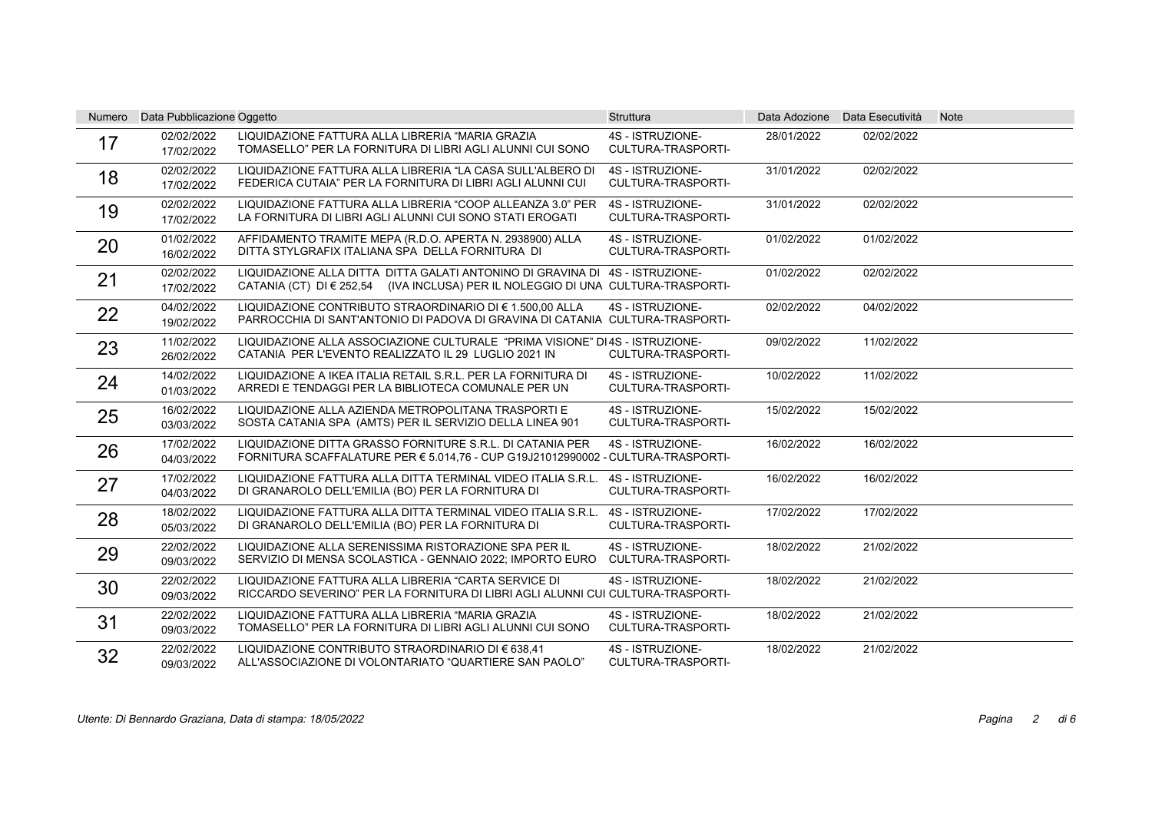| <b>Numero</b> | Data Pubblicazione Oggetto |                                                                                                                                                                  | <b>Struttura</b>                              |            | Data Adozione Data Esecutività | <b>Note</b> |
|---------------|----------------------------|------------------------------------------------------------------------------------------------------------------------------------------------------------------|-----------------------------------------------|------------|--------------------------------|-------------|
| 17            | 02/02/2022<br>17/02/2022   | LIQUIDAZIONE FATTURA ALLA LIBRERIA "MARIA GRAZIA<br>TOMASELLO" PER LA FORNITURA DI LIBRI AGLI ALUNNI CUI SONO                                                    | 4S - ISTRUZIONE-<br>CULTURA-TRASPORTI-        | 28/01/2022 | 02/02/2022                     |             |
| 18            | 02/02/2022<br>17/02/2022   | LIQUIDAZIONE FATTURA ALLA LIBRERIA "LA CASA SULL'ALBERO DI<br>FEDERICA CUTAIA" PER LA FORNITURA DI LIBRI AGLI ALUNNI CUI                                         | 4S - ISTRUZIONE-<br><b>CULTURA-TRASPORTI-</b> | 31/01/2022 | 02/02/2022                     |             |
| 19            | 02/02/2022<br>17/02/2022   | LIQUIDAZIONE FATTURA ALLA LIBRERIA "COOP ALLEANZA 3.0" PER<br>LA FORNITURA DI LIBRI AGLI ALUNNI CUI SONO STATI EROGATI                                           | 4S - ISTRUZIONE-<br><b>CULTURA-TRASPORTI-</b> | 31/01/2022 | 02/02/2022                     |             |
| 20            | 01/02/2022<br>16/02/2022   | AFFIDAMENTO TRAMITE MEPA (R.D.O. APERTA N. 2938900) ALLA<br>DITTA STYLGRAFIX ITALIANA SPA DELLA FORNITURA DI                                                     | 4S - ISTRUZIONE-<br>CULTURA-TRASPORTI-        | 01/02/2022 | 01/02/2022                     |             |
| 21            | 02/02/2022<br>17/02/2022   | LIQUIDAZIONE ALLA DITTA DITTA GALATI ANTONINO DI GRAVINA DI 4S - ISTRUZIONE-<br>CATANIA (CT) DI € 252,54 (IVA INCLUSA) PER IL NOLEGGIO DI UNA CULTURA-TRASPORTI- |                                               | 01/02/2022 | 02/02/2022                     |             |
| 22            | 04/02/2022<br>19/02/2022   | LIQUIDAZIONE CONTRIBUTO STRAORDINARIO DI € 1.500.00 ALLA<br>PARROCCHIA DI SANT'ANTONIO DI PADOVA DI GRAVINA DI CATANIA CULTURA-TRASPORTI-                        | 4S - ISTRUZIONE-                              | 02/02/2022 | 04/02/2022                     |             |
| 23            | 11/02/2022<br>26/02/2022   | LIQUIDAZIONE ALLA ASSOCIAZIONE CULTURALE "PRIMA VISIONE" DI4S - ISTRUZIONE-<br>CATANIA PER L'EVENTO REALIZZATO IL 29 LUGLIO 2021 IN                              | CULTURA-TRASPORTI-                            | 09/02/2022 | 11/02/2022                     |             |
| 24            | 14/02/2022<br>01/03/2022   | LIQUIDAZIONE A IKEA ITALIA RETAIL S.R.L. PER LA FORNITURA DI<br>ARREDI E TENDAGGI PER LA BIBLIOTECA COMUNALE PER UN                                              | 4S - ISTRUZIONE-<br>CULTURA-TRASPORTI-        | 10/02/2022 | 11/02/2022                     |             |
| 25            | 16/02/2022<br>03/03/2022   | LIQUIDAZIONE ALLA AZIENDA METROPOLITANA TRASPORTI E<br>SOSTA CATANIA SPA (AMTS) PER IL SERVIZIO DELLA LINEA 901                                                  | 4S - ISTRUZIONE-<br>CULTURA-TRASPORTI-        | 15/02/2022 | 15/02/2022                     |             |
| 26            | 17/02/2022<br>04/03/2022   | LIQUIDAZIONE DITTA GRASSO FORNITURE S.R.L. DI CATANIA PER<br>FORNITURA SCAFFALATURE PER € 5.014,76 - CUP G19J21012990002 - CULTURA-TRASPORTI-                    | 4S - ISTRUZIONE-                              | 16/02/2022 | 16/02/2022                     |             |
| 27            | 17/02/2022<br>04/03/2022   | LIQUIDAZIONE FATTURA ALLA DITTA TERMINAL VIDEO ITALIA S.R.L.<br>DI GRANAROLO DELL'EMILIA (BO) PER LA FORNITURA DI                                                | 4S - ISTRUZIONE-<br>CULTURA-TRASPORTI-        | 16/02/2022 | 16/02/2022                     |             |
| 28            | 18/02/2022<br>05/03/2022   | LIQUIDAZIONE FATTURA ALLA DITTA TERMINAL VIDEO ITALIA S.R.L.<br>DI GRANAROLO DELL'EMILIA (BO) PER LA FORNITURA DI                                                | 4S - ISTRUZIONE-<br>CULTURA-TRASPORTI-        | 17/02/2022 | 17/02/2022                     |             |
| 29            | 22/02/2022<br>09/03/2022   | LIQUIDAZIONE ALLA SERENISSIMA RISTORAZIONE SPA PER IL<br>SERVIZIO DI MENSA SCOLASTICA - GENNAIO 2022; IMPORTO EURO                                               | 4S - ISTRUZIONE-<br><b>CULTURA-TRASPORTI-</b> | 18/02/2022 | 21/02/2022                     |             |
| 30            | 22/02/2022<br>09/03/2022   | LIQUIDAZIONE FATTURA ALLA LIBRERIA "CARTA SERVICE DI<br>RICCARDO SEVERINO" PER LA FORNITURA DI LIBRI AGLI ALUNNI CUI CULTURA-TRASPORTI-                          | 4S - ISTRUZIONE-                              | 18/02/2022 | 21/02/2022                     |             |
| 31            | 22/02/2022<br>09/03/2022   | LIQUIDAZIONE FATTURA ALLA LIBRERIA "MARIA GRAZIA<br>TOMASELLO" PER LA FORNITURA DI LIBRI AGLI ALUNNI CUI SONO                                                    | 4S - ISTRUZIONE-<br>CULTURA-TRASPORTI-        | 18/02/2022 | 21/02/2022                     |             |
| 32            | 22/02/2022<br>09/03/2022   | LIQUIDAZIONE CONTRIBUTO STRAORDINARIO DI € 638.41<br>ALL'ASSOCIAZIONE DI VOLONTARIATO "QUARTIERE SAN PAOLO"                                                      | 4S - ISTRUZIONE-<br>CULTURA-TRASPORTI-        | 18/02/2022 | 21/02/2022                     |             |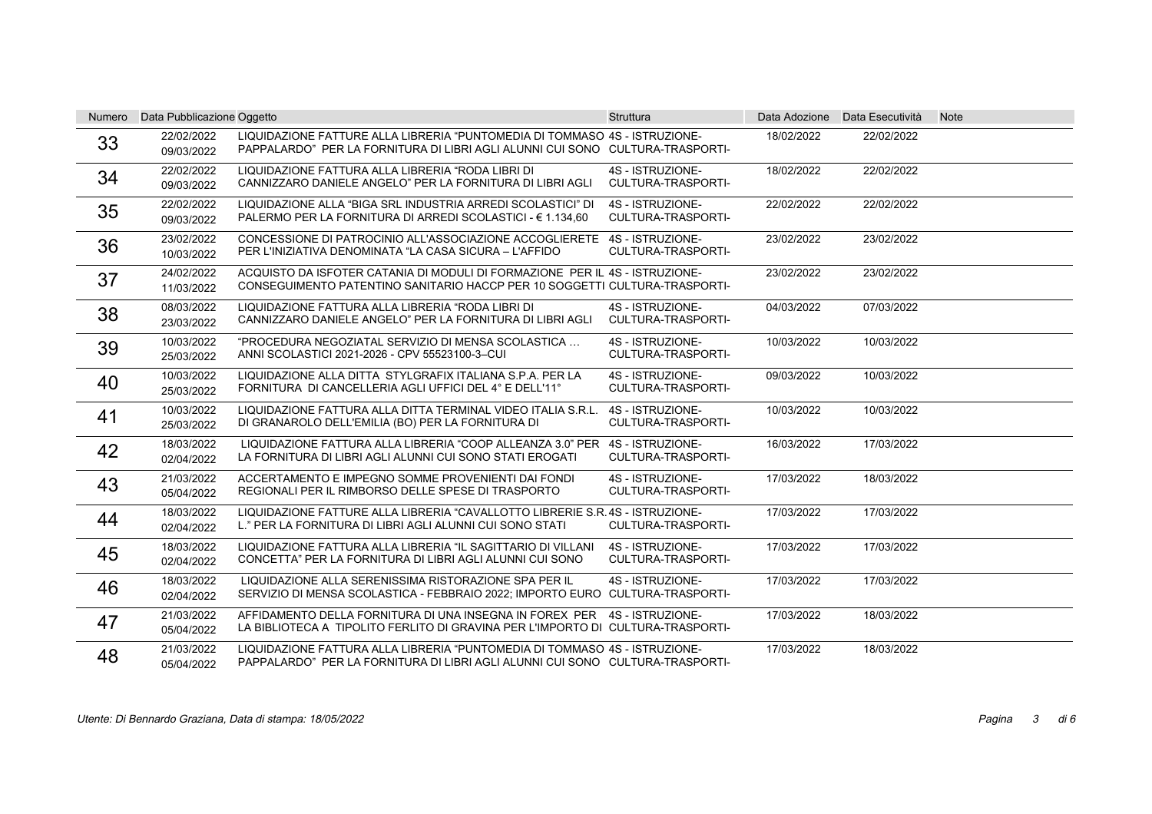| <b>Numero</b> | Data Pubblicazione Oggetto |                                                                                                                                                             | <b>Struttura</b>                              |            | Data Adozione Data Esecutività | <b>Note</b> |
|---------------|----------------------------|-------------------------------------------------------------------------------------------------------------------------------------------------------------|-----------------------------------------------|------------|--------------------------------|-------------|
| 33            | 22/02/2022<br>09/03/2022   | LIQUIDAZIONE FATTURE ALLA LIBRERIA "PUNTOMEDIA DI TOMMASO 4S - ISTRUZIONE-<br>PAPPALARDO" PER LA FORNITURA DI LIBRI AGLI ALUNNI CUI SONO CULTURA-TRASPORTI- |                                               | 18/02/2022 | 22/02/2022                     |             |
| 34            | 22/02/2022<br>09/03/2022   | LIQUIDAZIONE FATTURA ALLA LIBRERIA "RODA LIBRI DI<br>CANNIZZARO DANIELE ANGELO" PER LA FORNITURA DI LIBRI AGLI                                              | 4S - ISTRUZIONE-<br><b>CULTURA-TRASPORTI-</b> | 18/02/2022 | 22/02/2022                     |             |
| 35            | 22/02/2022<br>09/03/2022   | LIQUIDAZIONE ALLA "BIGA SRL INDUSTRIA ARREDI SCOLASTICI" DI<br>PALERMO PER LA FORNITURA DI ARREDI SCOLASTICI - € 1.134.60                                   | 4S - ISTRUZIONE-<br>CULTURA-TRASPORTI-        | 22/02/2022 | 22/02/2022                     |             |
| 36            | 23/02/2022<br>10/03/2022   | CONCESSIONE DI PATROCINIO ALL'ASSOCIAZIONE ACCOGLIERETE 4S - ISTRUZIONE-<br>PER L'INIZIATIVA DENOMINATA "LA CASA SICURA – L'AFFIDO                          | <b>CULTURA-TRASPORTI-</b>                     | 23/02/2022 | 23/02/2022                     |             |
| 37            | 24/02/2022<br>11/03/2022   | ACQUISTO DA ISFOTER CATANIA DI MODULI DI FORMAZIONE PER IL 4S - ISTRUZIONE-<br>CONSEGUIMENTO PATENTINO SANITARIO HACCP PER 10 SOGGETTI CULTURA-TRASPORTI-   |                                               | 23/02/2022 | 23/02/2022                     |             |
| 38            | 08/03/2022<br>23/03/2022   | LIQUIDAZIONE FATTURA ALLA LIBRERIA "RODA LIBRI DI<br>CANNIZZARO DANIELE ANGELO" PER LA FORNITURA DI LIBRI AGLI                                              | 4S - ISTRUZIONE-<br>CULTURA-TRASPORTI-        | 04/03/2022 | 07/03/2022                     |             |
| 39            | 10/03/2022<br>25/03/2022   | "PROCEDURA NEGOZIATAL SERVIZIO DI MENSA SCOLASTICA<br>ANNI SCOLASTICI 2021-2026 - CPV 55523100-3-CUI                                                        | 4S - ISTRUZIONE-<br>CULTURA-TRASPORTI-        | 10/03/2022 | 10/03/2022                     |             |
| 40            | 10/03/2022<br>25/03/2022   | LIQUIDAZIONE ALLA DITTA STYLGRAFIX ITALIANA S.P.A. PER LA<br>FORNITURA DI CANCELLERIA AGLI UFFICI DEL 4° E DELL'11°                                         | 4S - ISTRUZIONE-<br>CULTURA-TRASPORTI-        | 09/03/2022 | 10/03/2022                     |             |
| 41            | 10/03/2022<br>25/03/2022   | LIQUIDAZIONE FATTURA ALLA DITTA TERMINAL VIDEO ITALIA S.R.L.<br>DI GRANAROLO DELL'EMILIA (BO) PER LA FORNITURA DI                                           | 4S - ISTRUZIONE-<br>CULTURA-TRASPORTI-        | 10/03/2022 | 10/03/2022                     |             |
| 42            | 18/03/2022<br>02/04/2022   | LIQUIDAZIONE FATTURA ALLA LIBRERIA "COOP ALLEANZA 3.0" PER<br>LA FORNITURA DI LIBRI AGLI ALUNNI CUI SONO STATI EROGATI                                      | 4S - ISTRUZIONE-<br>CULTURA-TRASPORTI-        | 16/03/2022 | 17/03/2022                     |             |
| 43            | 21/03/2022<br>05/04/2022   | ACCERTAMENTO E IMPEGNO SOMME PROVENIENTI DAI FONDI<br>REGIONALI PER IL RIMBORSO DELLE SPESE DI TRASPORTO                                                    | 4S - ISTRUZIONE-<br>CULTURA-TRASPORTI-        | 17/03/2022 | 18/03/2022                     |             |
| 44            | 18/03/2022<br>02/04/2022   | LIQUIDAZIONE FATTURE ALLA LIBRERIA "CAVALLOTTO LIBRERIE S.R. 4S - ISTRUZIONE-<br>L." PER LA FORNITURA DI LIBRI AGLI ALUNNI CUI SONO STATI                   | <b>CULTURA-TRASPORTI-</b>                     | 17/03/2022 | 17/03/2022                     |             |
| 45            | 18/03/2022<br>02/04/2022   | LIQUIDAZIONE FATTURA ALLA LIBRERIA "IL SAGITTARIO DI VILLANI<br>CONCETTA" PER LA FORNITURA DI LIBRI AGLI ALUNNI CUI SONO                                    | 4S - ISTRUZIONE-<br><b>CULTURA-TRASPORTI-</b> | 17/03/2022 | 17/03/2022                     |             |
| 46            | 18/03/2022<br>02/04/2022   | LIQUIDAZIONE ALLA SERENISSIMA RISTORAZIONE SPA PER IL<br>SERVIZIO DI MENSA SCOLASTICA - FEBBRAIO 2022; IMPORTO EURO CULTURA-TRASPORTI-                      | 4S - ISTRUZIONE-                              | 17/03/2022 | 17/03/2022                     |             |
| 47            | 21/03/2022<br>05/04/2022   | AFFIDAMENTO DELLA FORNITURA DI UNA INSEGNA IN FOREX PER 4S - ISTRUZIONE-<br>LA BIBLIOTECA A TIPOLITO FERLITO DI GRAVINA PER L'IMPORTO DI CULTURA-TRASPORTI- |                                               | 17/03/2022 | 18/03/2022                     |             |
| 48            | 21/03/2022<br>05/04/2022   | LIQUIDAZIONE FATTURA ALLA LIBRERIA "PUNTOMEDIA DI TOMMASO 4S - ISTRUZIONE-<br>PAPPALARDO" PER LA FORNITURA DI LIBRI AGLI ALUNNI CUI SONO CULTURA-TRASPORTI- |                                               | 17/03/2022 | 18/03/2022                     |             |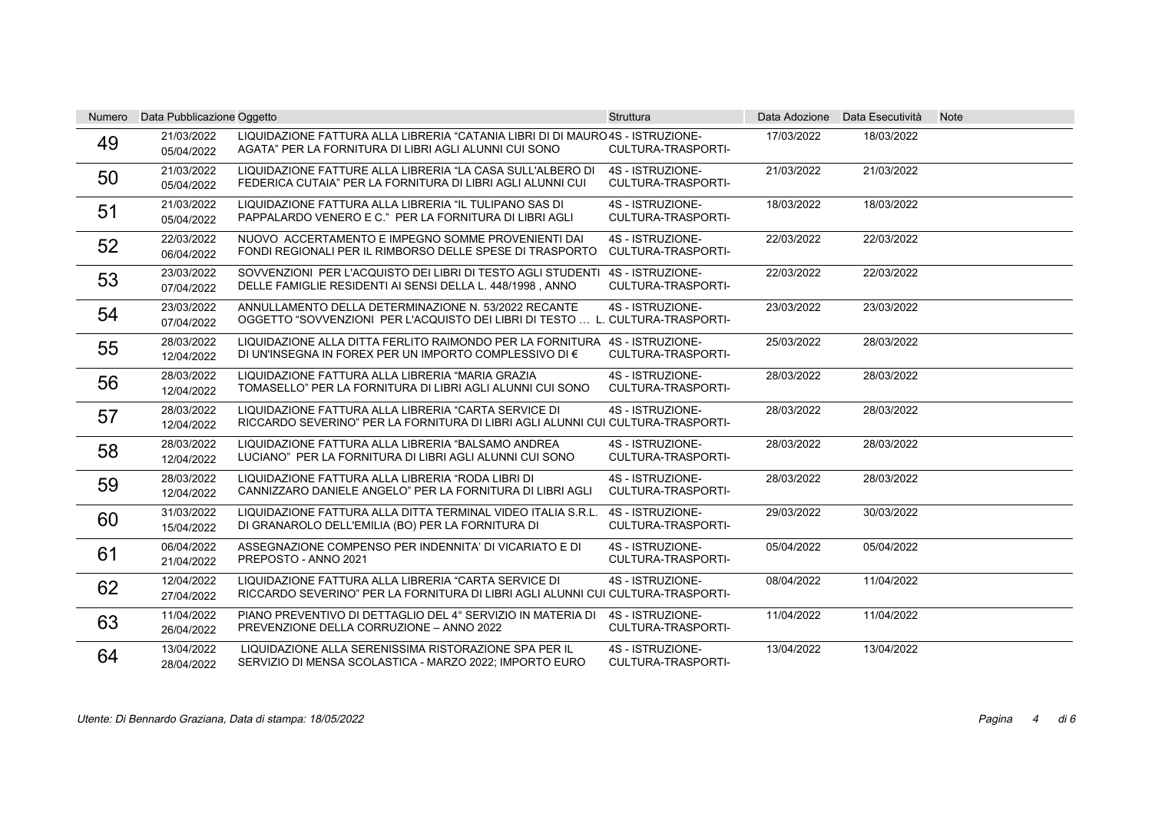| <b>Numero</b> | Data Pubblicazione Oggetto |                                                                                                                                         | <b>Struttura</b>                              |            | Data Adozione Data Esecutività | <b>Note</b> |
|---------------|----------------------------|-----------------------------------------------------------------------------------------------------------------------------------------|-----------------------------------------------|------------|--------------------------------|-------------|
| 49            | 21/03/2022<br>05/04/2022   | LIQUIDAZIONE FATTURA ALLA LIBRERIA "CATANIA LIBRI DI DI MAURO 4S - ISTRUZIONE-<br>AGATA" PER LA FORNITURA DI LIBRI AGLI ALUNNI CUI SONO | CULTURA-TRASPORTI-                            | 17/03/2022 | 18/03/2022                     |             |
| 50            | 21/03/2022<br>05/04/2022   | LIQUIDAZIONE FATTURE ALLA LIBRERIA "LA CASA SULL'ALBERO DI<br>FEDERICA CUTAIA" PER LA FORNITURA DI LIBRI AGLI ALUNNI CUI                | 4S - ISTRUZIONE-<br><b>CULTURA-TRASPORTI-</b> | 21/03/2022 | 21/03/2022                     |             |
| 51            | 21/03/2022<br>05/04/2022   | LIQUIDAZIONE FATTURA ALLA LIBRERIA "IL TULIPANO SAS DI<br>PAPPALARDO VENERO E C." PER LA FORNITURA DI LIBRI AGLI                        | 4S - ISTRUZIONE-<br>CULTURA-TRASPORTI-        | 18/03/2022 | 18/03/2022                     |             |
| 52            | 22/03/2022<br>06/04/2022   | NUOVO ACCERTAMENTO E IMPEGNO SOMME PROVENIENTI DAI<br>FONDI REGIONALI PER IL RIMBORSO DELLE SPESE DI TRASPORTO                          | 4S - ISTRUZIONE-<br>CULTURA-TRASPORTI-        | 22/03/2022 | 22/03/2022                     |             |
| 53            | 23/03/2022<br>07/04/2022   | SOVVENZIONI PER L'ACQUISTO DEI LIBRI DI TESTO AGLI STUDENTI<br>DELLE FAMIGLIE RESIDENTI AI SENSI DELLA L. 448/1998, ANNO                | 4S - ISTRUZIONE-<br><b>CULTURA-TRASPORTI-</b> | 22/03/2022 | 22/03/2022                     |             |
| 54            | 23/03/2022<br>07/04/2022   | ANNULLAMENTO DELLA DETERMINAZIONE N. 53/2022 RECANTE<br>OGGETTO "SOVVENZIONI PER L'ACQUISTO DEI LIBRI DI TESTO  L. CULTURA-TRASPORTI-   | 4S - ISTRUZIONE-                              | 23/03/2022 | 23/03/2022                     |             |
| 55            | 28/03/2022<br>12/04/2022   | LIQUIDAZIONE ALLA DITTA FERLITO RAIMONDO PER LA FORNITURA 4S - ISTRUZIONE-<br>DI UN'INSEGNA IN FOREX PER UN IMPORTO COMPLESSIVO DI €    | CULTURA-TRASPORTI-                            | 25/03/2022 | 28/03/2022                     |             |
| 56            | 28/03/2022<br>12/04/2022   | LIQUIDAZIONE FATTURA ALLA LIBRERIA "MARIA GRAZIA<br>TOMASELLO" PER LA FORNITURA DI LIBRI AGLI ALUNNI CUI SONO                           | 4S - ISTRUZIONE-<br>CULTURA-TRASPORTI-        | 28/03/2022 | 28/03/2022                     |             |
| 57            | 28/03/2022<br>12/04/2022   | LIQUIDAZIONE FATTURA ALLA LIBRERIA "CARTA SERVICE DI<br>RICCARDO SEVERINO" PER LA FORNITURA DI LIBRI AGLI ALUNNI CUI CULTURA-TRASPORTI- | 4S - ISTRUZIONE-                              | 28/03/2022 | 28/03/2022                     |             |
| 58            | 28/03/2022<br>12/04/2022   | LIQUIDAZIONE FATTURA ALLA LIBRERIA "BALSAMO ANDREA<br>LUCIANO" PER LA FORNITURA DI LIBRI AGLI ALUNNI CUI SONO                           | 4S - ISTRUZIONE-<br><b>CULTURA-TRASPORTI-</b> | 28/03/2022 | 28/03/2022                     |             |
| 59            | 28/03/2022<br>12/04/2022   | LIQUIDAZIONE FATTURA ALLA LIBRERIA "RODA LIBRI DI<br>CANNIZZARO DANIELE ANGELO" PER LA FORNITURA DI LIBRI AGLI                          | 4S - ISTRUZIONE-<br>CULTURA-TRASPORTI-        | 28/03/2022 | 28/03/2022                     |             |
| 60            | 31/03/2022<br>15/04/2022   | LIQUIDAZIONE FATTURA ALLA DITTA TERMINAL VIDEO ITALIA S.R.L.<br>DI GRANAROLO DELL'EMILIA (BO) PER LA FORNITURA DI                       | 4S - ISTRUZIONE-<br><b>CULTURA-TRASPORTI-</b> | 29/03/2022 | 30/03/2022                     |             |
| 61            | 06/04/2022<br>21/04/2022   | ASSEGNAZIONE COMPENSO PER INDENNITA' DI VICARIATO E DI<br>PREPOSTO - ANNO 2021                                                          | 4S - ISTRUZIONE-<br><b>CULTURA-TRASPORTI-</b> | 05/04/2022 | 05/04/2022                     |             |
| 62            | 12/04/2022<br>27/04/2022   | LIQUIDAZIONE FATTURA ALLA LIBRERIA "CARTA SERVICE DI<br>RICCARDO SEVERINO" PER LA FORNITURA DI LIBRI AGLI ALUNNI CUI CULTURA-TRASPORTI- | 4S - ISTRUZIONE-                              | 08/04/2022 | 11/04/2022                     |             |
| 63            | 11/04/2022<br>26/04/2022   | PIANO PREVENTIVO DI DETTAGLIO DEL 4° SERVIZIO IN MATERIA DI<br>PREVENZIONE DELLA CORRUZIONE - ANNO 2022                                 | 4S - ISTRUZIONE-<br>CULTURA-TRASPORTI-        | 11/04/2022 | 11/04/2022                     |             |
| 64            | 13/04/2022<br>28/04/2022   | LIQUIDAZIONE ALLA SERENISSIMA RISTORAZIONE SPA PER IL<br>SERVIZIO DI MENSA SCOLASTICA - MARZO 2022; IMPORTO EURO                        | 4S - ISTRUZIONE-<br>CULTURA-TRASPORTI-        | 13/04/2022 | 13/04/2022                     |             |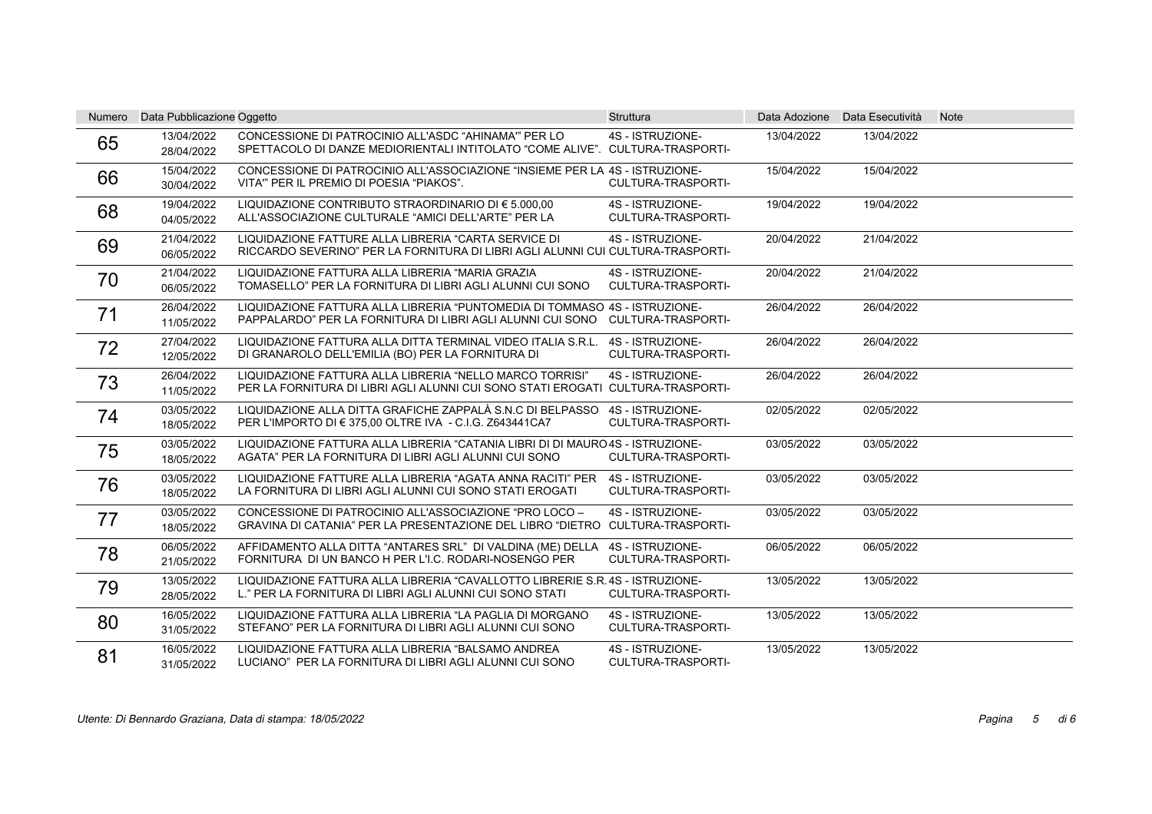| <b>Numero</b> | Data Pubblicazione Oggetto |                                                                                                                                                             | <b>Struttura</b>                              |            | Data Adozione Data Esecutività | <b>Note</b> |
|---------------|----------------------------|-------------------------------------------------------------------------------------------------------------------------------------------------------------|-----------------------------------------------|------------|--------------------------------|-------------|
| 65            | 13/04/2022<br>28/04/2022   | CONCESSIONE DI PATROCINIO ALL'ASDC "AHINAMA" PER LO<br>SPETTACOLO DI DANZE MEDIORIENTALI INTITOLATO "COME ALIVE". CULTURA-TRASPORTI-                        | 4S - ISTRUZIONE-                              | 13/04/2022 | 13/04/2022                     |             |
| 66            | 15/04/2022<br>30/04/2022   | CONCESSIONE DI PATROCINIO ALL'ASSOCIAZIONE "INSIEME PER LA 4S - ISTRUZIONE-<br>VITA" PER IL PREMIO DI POESIA "PIAKOS".                                      | <b>CULTURA-TRASPORTI-</b>                     | 15/04/2022 | 15/04/2022                     |             |
| 68            | 19/04/2022<br>04/05/2022   | LIQUIDAZIONE CONTRIBUTO STRAORDINARIO DI € 5.000.00<br>ALL'ASSOCIAZIONE CULTURALE "AMICI DELL'ARTE" PER LA                                                  | 4S - ISTRUZIONE-<br><b>CULTURA-TRASPORTI-</b> | 19/04/2022 | 19/04/2022                     |             |
| 69            | 21/04/2022<br>06/05/2022   | LIQUIDAZIONE FATTURE ALLA LIBRERIA "CARTA SERVICE DI<br>RICCARDO SEVERINO" PER LA FORNITURA DI LIBRI AGLI ALUNNI CUI CULTURA-TRASPORTI-                     | 4S - ISTRUZIONE-                              | 20/04/2022 | 21/04/2022                     |             |
| 70            | 21/04/2022<br>06/05/2022   | LIQUIDAZIONE FATTURA ALLA LIBRERIA "MARIA GRAZIA<br>TOMASELLO" PER LA FORNITURA DI LIBRI AGLI ALUNNI CUI SONO                                               | 4S - ISTRUZIONE-<br>CULTURA-TRASPORTI-        | 20/04/2022 | 21/04/2022                     |             |
| 71            | 26/04/2022<br>11/05/2022   | LIQUIDAZIONE FATTURA ALLA LIBRERIA "PUNTOMEDIA DI TOMMASO 4S - ISTRUZIONE-<br>PAPPALARDO" PER LA FORNITURA DI LIBRI AGLI ALUNNI CUI SONO CULTURA-TRASPORTI- |                                               | 26/04/2022 | 26/04/2022                     |             |
| 72            | 27/04/2022<br>12/05/2022   | LIQUIDAZIONE FATTURA ALLA DITTA TERMINAL VIDEO ITALIA S.R.L. 4S - ISTRUZIONE-<br>DI GRANAROLO DELL'EMILIA (BO) PER LA FORNITURA DI                          | CULTURA-TRASPORTI-                            | 26/04/2022 | 26/04/2022                     |             |
| 73            | 26/04/2022<br>11/05/2022   | LIQUIDAZIONE FATTURA ALLA LIBRERIA "NELLO MARCO TORRISI"<br>PER LA FORNITURA DI LIBRI AGLI ALUNNI CUI SONO STATI EROGATI CULTURA-TRASPORTI-                 | 4S - ISTRUZIONE-                              | 26/04/2022 | 26/04/2022                     |             |
| 74            | 03/05/2022<br>18/05/2022   | LIQUIDAZIONE ALLA DITTA GRAFICHE ZAPPALÀ S.N.C DI BELPASSO 4S - ISTRUZIONE-<br>PER L'IMPORTO DI € 375,00 OLTRE IVA - C.I.G. Z643441CA7                      | <b>CULTURA-TRASPORTI-</b>                     | 02/05/2022 | 02/05/2022                     |             |
| 75            | 03/05/2022<br>18/05/2022   | LIQUIDAZIONE FATTURA ALLA LIBRERIA "CATANIA LIBRI DI DI MAURO 4S - ISTRUZIONE-<br>AGATA" PER LA FORNITURA DI LIBRI AGLI ALUNNI CUI SONO                     | CULTURA-TRASPORTI-                            | 03/05/2022 | 03/05/2022                     |             |
| 76            | 03/05/2022<br>18/05/2022   | LIQUIDAZIONE FATTURE ALLA LIBRERIA "AGATA ANNA RACITI" PER<br>LA FORNITURA DI LIBRI AGLI ALUNNI CUI SONO STATI EROGATI                                      | 4S - ISTRUZIONE-<br>CULTURA-TRASPORTI-        | 03/05/2022 | 03/05/2022                     |             |
| 77            | 03/05/2022<br>18/05/2022   | CONCESSIONE DI PATROCINIO ALL'ASSOCIAZIONE "PRO LOCO -<br>GRAVINA DI CATANIA" PER LA PRESENTAZIONE DEL LIBRO "DIETRO CULTURA-TRASPORTI-                     | 4S - ISTRUZIONE-                              | 03/05/2022 | 03/05/2022                     |             |
| 78            | 06/05/2022<br>21/05/2022   | AFFIDAMENTO ALLA DITTA "ANTARES SRL" DI VALDINA (ME) DELLA<br>FORNITURA DI UN BANCO H PER L'I.C. RODARI-NOSENGO PER                                         | 4S - ISTRUZIONE-<br><b>CULTURA-TRASPORTI-</b> | 06/05/2022 | 06/05/2022                     |             |
| 79            | 13/05/2022<br>28/05/2022   | LIQUIDAZIONE FATTURA ALLA LIBRERIA "CAVALLOTTO LIBRERIE S.R. 4S - ISTRUZIONE-<br>L." PER LA FORNITURA DI LIBRI AGLI ALUNNI CUI SONO STATI                   | CULTURA-TRASPORTI-                            | 13/05/2022 | 13/05/2022                     |             |
| 80            | 16/05/2022<br>31/05/2022   | LIQUIDAZIONE FATTURA ALLA LIBRERIA "LA PAGLIA DI MORGANO<br>STEFANO" PER LA FORNITURA DI LIBRI AGLI ALUNNI CUI SONO                                         | 4S - ISTRUZIONE-<br>CULTURA-TRASPORTI-        | 13/05/2022 | 13/05/2022                     |             |
| 81            | 16/05/2022<br>31/05/2022   | LIQUIDAZIONE FATTURA ALLA LIBRERIA "BALSAMO ANDREA<br>LUCIANO" PER LA FORNITURA DI LIBRI AGLI ALUNNI CUI SONO                                               | 4S - ISTRUZIONE-<br>CULTURA-TRASPORTI-        | 13/05/2022 | 13/05/2022                     |             |